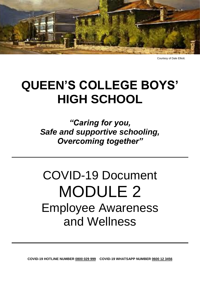

Courtesy of Dale Elliott.

## **QUEEN'S COLLEGE BOYS' HIGH SCHOOL**

*"Caring for you, Safe and supportive schooling, Overcoming together"*

# COVID-19 Document MODULE 2 Employee Awareness and Wellness

**COVID-19 HOTLINE NUMBER 0800 029 999 COVID-19 WHATSAPP NUMBER 0600 12 3456**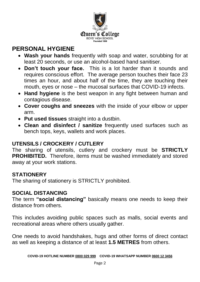

## **PERSONAL HYGIENE**

- **Wash your hands** frequently with soap and water, scrubbing for at least 20 seconds, or use an alcohol-based hand sanitiser.
- **Don't touch your face.** This is a lot harder than it sounds and requires conscious effort. The average person touches their face 23 times an hour, and about half of the time, they are touching their mouth, eyes or nose – the mucosal surfaces that COVID-19 infects.
- **Hand hygiene** is the best weapon in any fight between human and contagious disease.
- **Cover coughs and sneezes** with the inside of your elbow or upper arm.
- **Put used tissues** straight into a dustbin.
- **Clean and disinfect / sanitize** frequently used surfaces such as bench tops, keys, wallets and work places.

#### **UTENSILS / CROCKERY / CUTLERY**

The sharing of utensils, cutlery and crockery must be **STRICTLY PROHIBITED.** Therefore, items must be washed immediately and stored away at your work stations.

#### **STATIONERY**

The sharing of stationery is STRICTLY prohibited.

#### **SOCIAL DISTANCING**

The term **"social distancing"** basically means one needs to keep their distance from others.

This includes avoiding public spaces such as malls, social events and recreational areas where others usually gather.

One needs to avoid handshakes, hugs and other forms of direct contact as well as keeping a distance of at least **1.5 METRES** from others.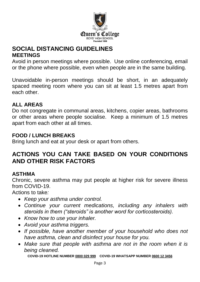

### **SOCIAL DISTANCING GUIDELINES MEETINGS**

Avoid in person meetings where possible. Use online conferencing, email or the phone where possible, even when people are in the same building.

Unavoidable in-person meetings should be short, in an adequately spaced meeting room where you can sit at least 1.5 metres apart from each other.

#### **ALL AREAS**

Do not congregate in communal areas, kitchens, copier areas, bathrooms or other areas where people socialise. Keep a minimum of 1.5 metres apart from each other at all times.

#### **FOOD / LUNCH BREAKS**

Bring lunch and eat at your desk or apart from others.

## **ACTIONS YOU CAN TAKE BASED ON YOUR CONDITIONS AND OTHER RISK FACTORS**

#### **ASTHMA**

Chronic, severe asthma may put people at higher risk for severe illness from COVID-19.

Actions to take*:*

- *Keep your asthma under control.*
- *Continue your current medications, including any inhalers with steroids in them ("steroids" is another word for corticosteroids).*
- *Know how to use your inhaler.*
- *Avoid your asthma triggers.*
- *If possible, have another member of your household who does not have asthma, clean and disinfect your house for you.*
- *Make sure that people with asthma are not in the room when it is being cleaned.*

**COVID-19 HOTLINE NUMBER 0800 029 999 COVID-19 WHATSAPP NUMBER 0600 12 3456**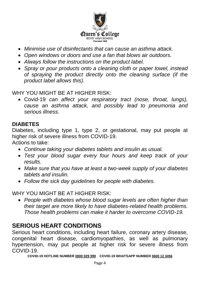

- *Minimise use of disinfectants that can cause an asthma attack.*
- *Open windows or doors and use a fan that blows air outdoors.*
- *Always follow the instructions on the product label.*
- *Spray or pour products onto a cleaning cloth or paper towel, instead of spraying the product directly onto the cleaning surface (if the product label allows this).*

WHY YOU MIGHT BE AT HIGHER RISK:

 Covid-19 *can affect your respiratory tract (nose, throat, lungs), cause an asthma attack, and possibly lead to pneumonia and serious illness.*

#### **DIABETES**

Diabetes, including type 1, type 2, or gestational, may put people at higher risk of severe illness from COVID-19.

Actions to take:

- *Continue taking your diabetes tablets and insulin as usual.*
- *Test your blood sugar every four hours and keep track of your results.*
- *Make sure that you have at least a two-week supply of your diabetes tablets and insulin.*
- *Follow the sick day guidelines for people with diabetes.*

WHY YOU MIGHT BE AT HIGHER RISK:

 *People with diabetes whose blood sugar levels are often higher than their target are more likely to have diabetes-related health problems. Those health problems can make it harder to overcome COVID-19.* 

## **SERIOUS HEART CONDITIONS**

Serious heart conditions, including heart failure, coronary artery disease, congenital heart disease, cardiomyopathies, as well as pulmonary hypertension, may put people at higher risk for severe illness from COVID-19.

**COVID-19 HOTLINE NUMBER 0800 029 999 COVID-19 WHATSAPP NUMBER 0600 12 3456**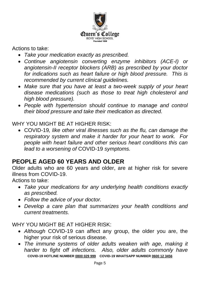

#### Actions to take:

- *Take your medication exactly as prescribed.*
- *Continue angiotensin converting enzyme inhibitors (ACE-I) or angiotensin-II receptor blockers (ARB) as prescribed by your doctor*  for indications such as heart failure or high blood pressure. This is *recommended by current clinical guidelines.*
- *Make sure that you have at least a two-week supply of your heart disease medications (such as those to treat high cholesterol and high blood pressure).*
- *People with hypertension should continue to manage and control their blood pressure and take their medication as directed.*

#### WHY YOU MIGHT BE AT HIGHER RISK:

 COVID-19*, like other viral illnesses such as the flu, can damage the respiratory system and make it harder for your heart to work. For people with heart failure and other serious heart conditions this can lead to a worsening of* COVID-19 *symptoms.* 

## **PEOPLE AGED 60 YEARS AND OLDER**

Older adults who are 60 years and older, are at higher risk for severe illness from COVID-19.

Actions to take:

- *Take your medications for any underlying health conditions exactly as prescribed.*
- *Follow the advice of your doctor.*
- *Develop a care plan that summarizes your health conditions and current treatments.*

WHY YOU MIGHT BE AT HIGHER RISK:

- *Although* COVID-19 can affect any group, the older you are, the higher your risk of serious disease.
- **COVID-19 HOTLINE NUMBER 0800 029 999 COVID-19 WHATSAPP NUMBER 0600 12 3456**  *The immune systems of older adults weaken with age, making it harder to fight off infections. Also, older adults commonly have*